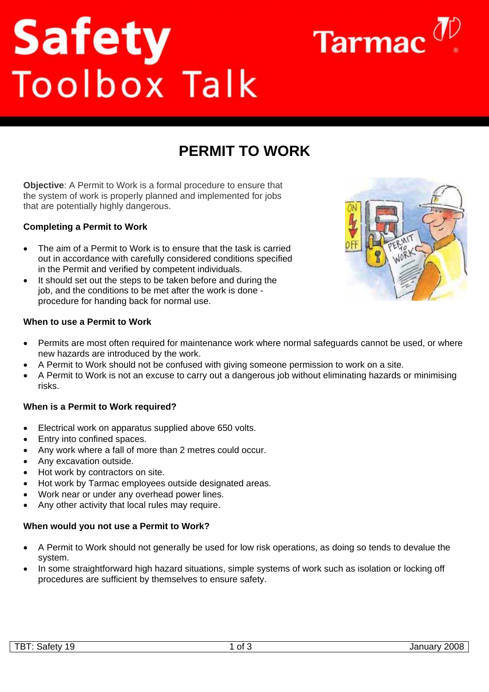# **Safety**<br>Toolbox Talk

**PERMIT TO WORK** 

**Objective**: A Permit to Work is a formal procedure to ensure that the system of work is properly planned and implemented for jobs that are potentially highly dangerous.

### **Completing a Permit to Work**

- The aim of a Permit to Work is to ensure that the task is carried out in accordance with carefully considered conditions specified in the Permit and verified by competent individuals.
- It should set out the steps to be taken before and during the job, and the conditions to be met after the work is done procedure for handing back for normal use.

### **When to use a Permit to Work**

- Permits are most often required for maintenance work where normal safeguards cannot be used, or where new hazards are introduced by the work.
- A Permit to Work should not be confused with giving someone permission to work on a site.
- A Permit to Work is not an excuse to carry out a dangerous job without eliminating hazards or minimising risks.

### **When is a Permit to Work required?**

- Electrical work on apparatus supplied above 650 volts.
- Entry into confined spaces.
- Any work where a fall of more than 2 metres could occur.
- Any excavation outside.
- Hot work by contractors on site.
- Hot work by Tarmac employees outside designated areas.
- Work near or under any overhead power lines.
- Any other activity that local rules may require.

# **When would you not use a Permit to Work?**

- A Permit to Work should not generally be used for low risk operations, as doing so tends to devalue the system.
- In some straightforward high hazard situations, simple systems of work such as isolation or locking off procedures are sufficient by themselves to ensure safety.



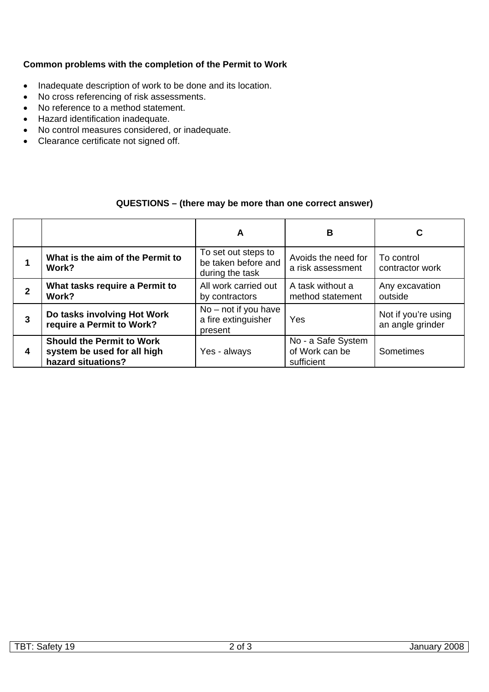## **Common problems with the completion of the Permit to Work**

- Inadequate description of work to be done and its location.
- No cross referencing of risk assessments.
- No reference to a method statement.
- Hazard identification inadequate.
- No control measures considered, or inadequate.
- Clearance certificate not signed off.

# **QUESTIONS – (there may be more than one correct answer)**

|   |                                                                                       | A                                                             | в                                                  | C                                       |
|---|---------------------------------------------------------------------------------------|---------------------------------------------------------------|----------------------------------------------------|-----------------------------------------|
|   | What is the aim of the Permit to<br>Work?                                             | To set out steps to<br>be taken before and<br>during the task | Avoids the need for<br>a risk assessment           | To control<br>contractor work           |
| 2 | What tasks require a Permit to<br>Work?                                               | All work carried out<br>by contractors                        | A task without a<br>method statement               | Any excavation<br>outside               |
| 3 | Do tasks involving Hot Work<br>require a Permit to Work?                              | $No$ – not if you have<br>a fire extinguisher<br>present      | Yes                                                | Not if you're using<br>an angle grinder |
| 4 | <b>Should the Permit to Work</b><br>system be used for all high<br>hazard situations? | Yes - always                                                  | No - a Safe System<br>of Work can be<br>sufficient | Sometimes                               |